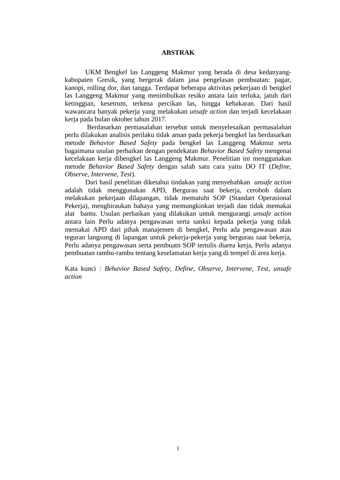## **ABSTRAK**

UKM Bengkel las Langgeng Makmur yang berada di desa kedanyangkabupaten Gresik, yang bergerak dalam jasa pengelasan pembuatan: pagar, kanopi, rolling dor, dan tangga. Terdapat beberapa aktivitas pekerjaan di bengkel las Langgeng Makmur yang menimbulkan resiko antara lain terluka, jatuh dari ketinggian, kesetrum, terkena percikan las, hingga kebakaran. Dari hasil wawancara banyak pekerja yang melakukan *unsafe action* dan terjadi kecelakaan kerja pada bulan oktober tahun 2017.

Berdasarkan permasalahan tersebut untuk menyelesaikan permasalahan perlu dilakukan analisis perilaku tidak aman pada pekerja bengkel las berdasarkan metode *Behavior Based Safety* pada bengkel las Langgeng Makmur serta bagaimana usulan perbaikan dengan pendekatan *Behavior Based Safety* mengenai kecelakaan kerja dibengkel las Langgeng Makmur. Penelitian ini menggunakan metode *Behavior Based Safety* dengan salah satu cara yaitu DO IT (*Define, Observe, Intervene, Test*).

Dari hasil penelitian diketahui tindakan yang menyebabkan *unsafe action* adalah tidak menggunakan APD, Bergurau saat bekerja, ceroboh dalam melakukan pekerjaan dilapangan, tidak mematuhi SOP (Standart Operasional Pekerja), menghiraukan bahaya yang memungkinkan terjadi dan tidak memakai alat bantu. Usulan perbaikan yang dilakukan untuk mengurangi *unsafe action*  antara lain Perlu adanya pengawasan serta sanksi kepada pekerja yang tidak memakai APD dari pihak manajemen di bengkel, Perlu ada pengawasan atau teguran langsung di lapangan untuk pekerja-pekerja yang bergurau saat bekerja, Perlu adanya pengawasan serta pembuatn SOP tertulis diarea kerja, Perlu adanya pembuatan rambu-rambu tentang keselamatan kerja yang di tempel di area kerja.

Kata kunci : *Behavior Based Safety, Define, Observe, Intervene, Test, unsafe action*